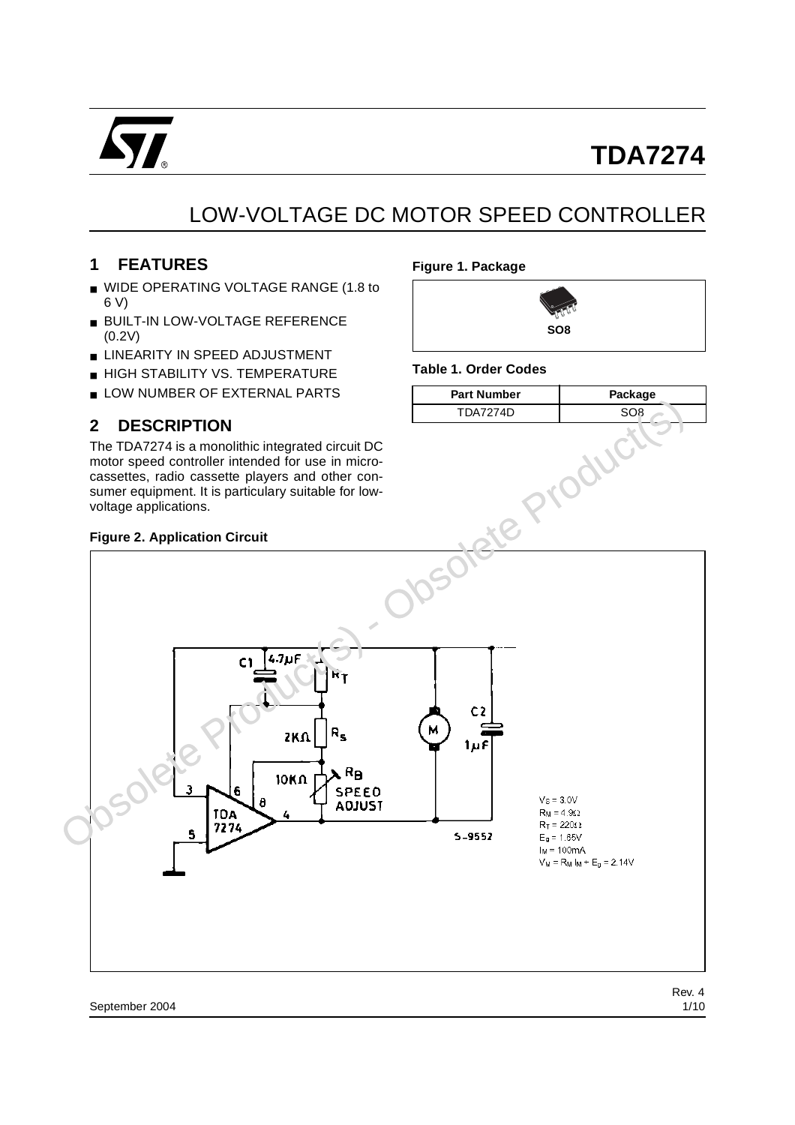

# LOW-VOLTAGE DC MOTOR SPEED CONTROLLER

# **1 FEATURES**

- WIDE OPERATING VOLTAGE RANGE (1.8 to 6 V)
- BUILT-IN LOW-VOLTAGE REFERENCE (0.2V)
- LINEARITY IN SPEED ADJUSTMENT
- HIGH STABILITY VS. TEMPERATURE
- LOW NUMBER OF EXTERNAL PARTS

# **2 DESCRIPTION**

The TDA7274 is a monolithic integrated circuit DC motor speed controller intended for use in microcassettes, radio cassette players and other consumer equipment. It is particulary suitable for lowvoltage applications.

#### **Figure 1. Package**



#### **Table 1. Order Codes**

| <b>Part Number</b> | Package |
|--------------------|---------|
| TDA7274D           |         |

#### **Figure 2. Application Circuit**

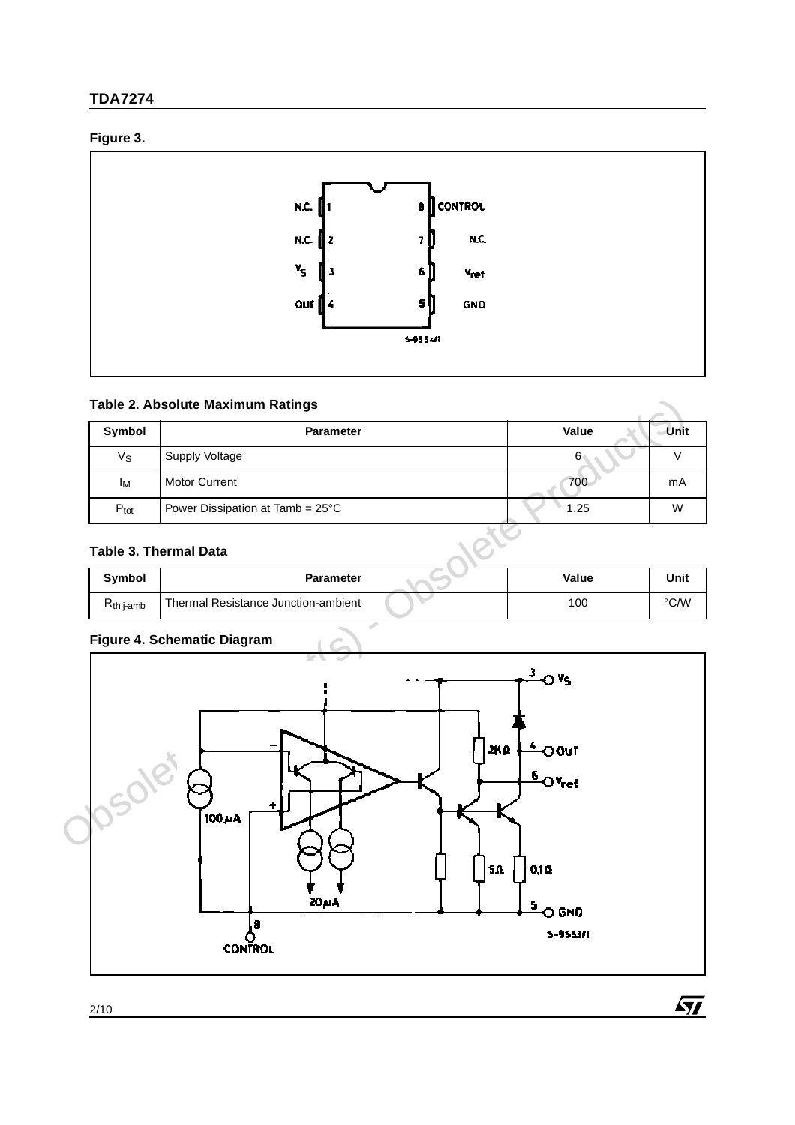# **TDA7274**

# **Figure 3.**



## **Table 2. Absolute Maximum Ratings**

| Symbol                                         | <b>Parameter</b>                 |     | Value        | Unit           |
|------------------------------------------------|----------------------------------|-----|--------------|----------------|
| Vs                                             | Supply Voltage                   | 6   |              |                |
| Iм                                             | <b>Motor Current</b>             | 700 | mA           |                |
| $P_{\text{tot}}$                               | Power Dissipation at Tamb = 25°C |     | 1.25         | W              |
|                                                | Table 3. Thermal Data            |     |              |                |
| $\mathbf{a}$ and $\mathbf{b}$ and $\mathbf{b}$ | <b>B</b> 4                       |     | $11 - 1 - 1$ | <b>Alberta</b> |

### **Table 3. Thermal Data**

| Symbol         | <b>Parameter</b>                    | Value | Unit |
|----------------|-------------------------------------|-------|------|
| $R_{th}$ i-amb | Thermal Resistance Junction-ambient | 100   | °C/W |

### **Figure 4. Schematic Diagram**

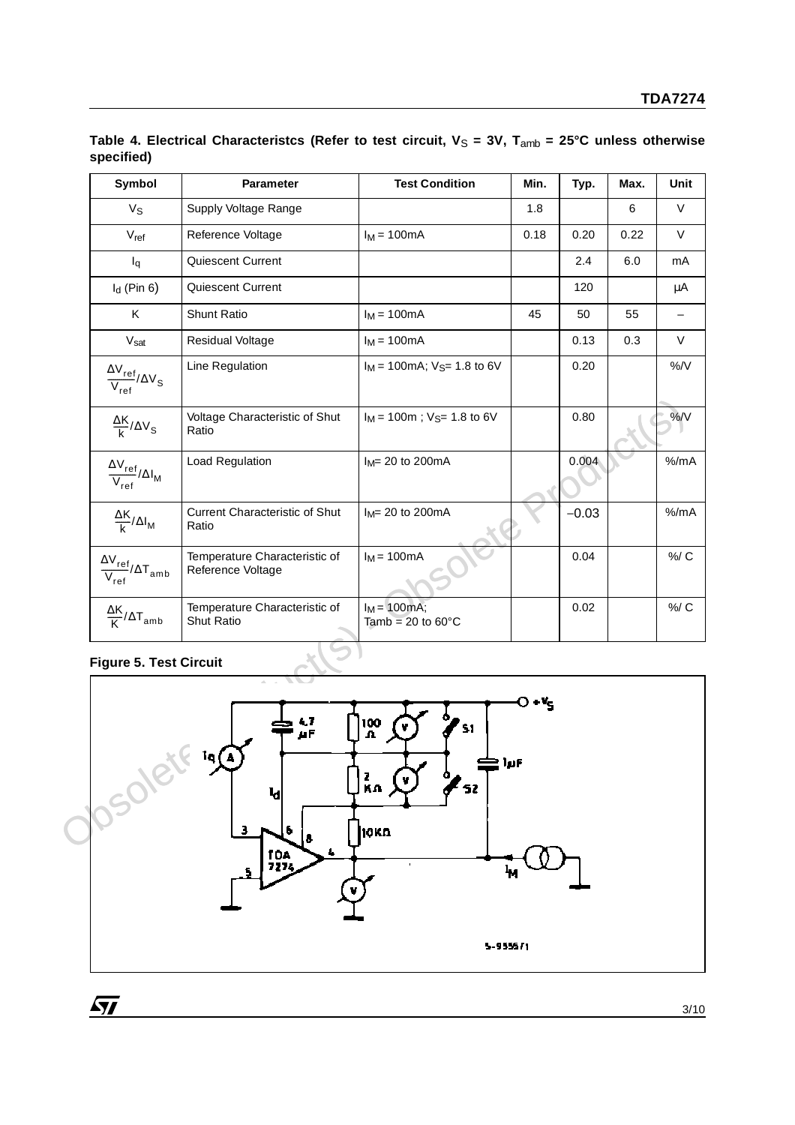| Symbol                                                                             | <b>Parameter</b>                                   | <b>Test Condition</b>                           | Min.    | Typ.    | Max. | Unit      |
|------------------------------------------------------------------------------------|----------------------------------------------------|-------------------------------------------------|---------|---------|------|-----------|
| $V_{\rm S}$                                                                        | Supply Voltage Range                               |                                                 | 1.8     |         | 6    | V         |
| $V_{ref}$                                                                          | Reference Voltage                                  | $I_M = 100mA$                                   | 0.18    | 0.20    | 0.22 | V         |
| $I_q$                                                                              | Quiescent Current                                  |                                                 |         | 2.4     | 6.0  | mA        |
| $I_d$ (Pin 6)                                                                      | Quiescent Current                                  |                                                 |         | 120     |      | μA        |
| Κ                                                                                  | Shunt Ratio                                        | $I_M = 100mA$                                   | 45      | 50      | 55   |           |
| Vsat                                                                               | <b>Residual Voltage</b>                            | $I_M = 100mA$                                   |         | 0.13    | 0.3  | V         |
| $\frac{\Delta \rm V_{ref}}{\rm V_{ref}}/\Delta \rm V_{S}$                          | Line Regulation                                    | $I_M$ = 100mA; $V_{S}$ = 1.8 to 6V              |         | 0.20    |      | $\% / V$  |
| $\frac{\Delta K}{k}/\Delta V_S$                                                    | Voltage Characteristic of Shut<br>Ratio            | $I_M$ = 100m; $V_{S}$ = 1.8 to 6V               |         | 0.80    |      | %N        |
| $\frac{\Delta \rm V_{ref}}{\Delta I_{\rm M}}$<br>$\overline{\mathsf{V}_{\sf ref}}$ | Load Regulation                                    | $I_M = 20$ to 200mA                             |         | 0.004   |      | % /mA     |
| $\frac{\Delta K}{k}/\Delta I_M$                                                    | <b>Current Characteristic of Shut</b><br>Ratio     | $I_M = 20$ to 200mA                             |         | $-0.03$ |      | $%$ /mA   |
| $\frac{\Delta \rm V_{ref}}{\rm V_{ref}}/\Delta \rm T_{amb}$                        | Temperature Characteristic of<br>Reference Voltage | $I_M = 100mA$                                   |         | 0.04    |      | $\% / C$  |
| $\frac{\Delta K}{K}/\Delta T$ <sub>amb</sub>                                       | Temperature Characteristic of<br>Shut Ratio        | $I_M$ = 100mA;<br>Tamb = $20$ to $60^{\circ}$ C |         | 0.02    |      | $%$ / $C$ |
| <b>Figure 5. Test Circuit</b>                                                      | 4.7                                                | 100<br>A                                        | $O + K$ |         |      |           |
| FOlet                                                                              |                                                    | Z<br>Ka<br>10 K.D.                              | ÌμF     |         |      |           |

Table 4. Electrical Characteristcs (Refer to test circuit,  $V_S = 3V$ , T<sub>amb</sub> = 25°C unless otherwise **specified)** 

# **Figure 5. Test Circuit**



3/10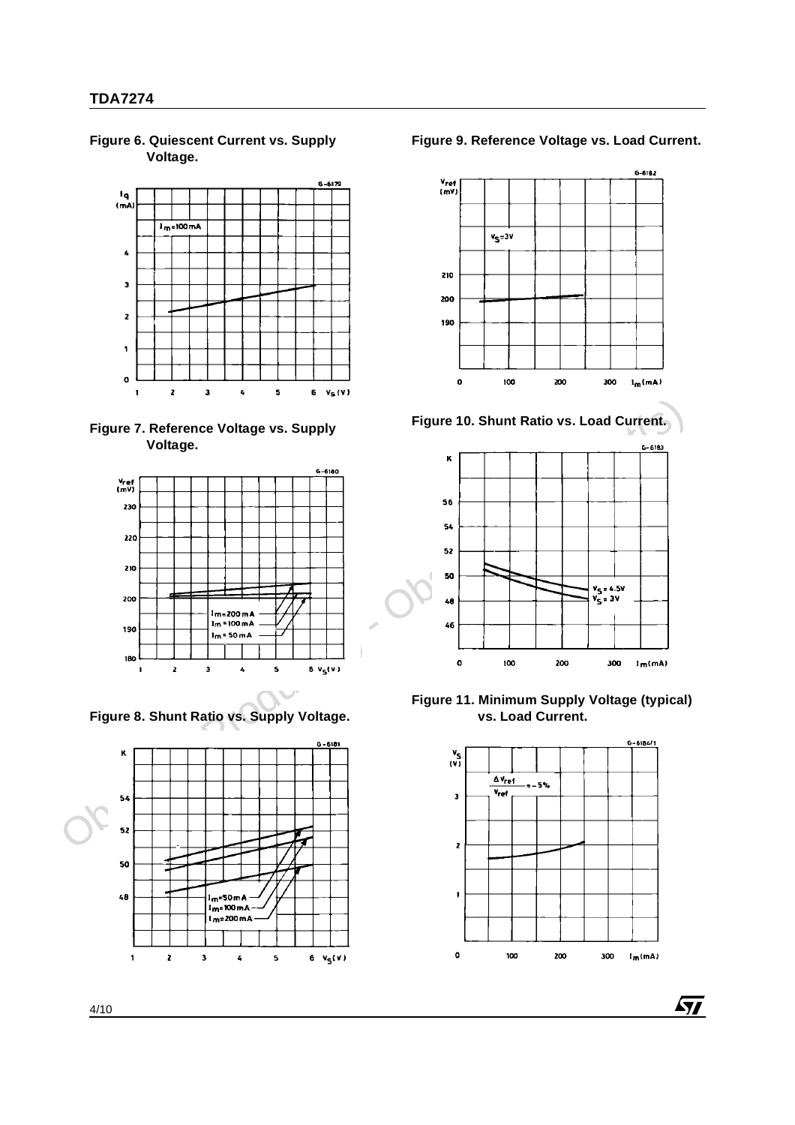**Figure 6. Quiescent Current vs. Supply Voltage.**







**Figure 8. Shunt Ratio vs. Supply Voltage.**



**Figure 9. Reference Voltage vs. Load Current.**





**Figure 11. Minimum Supply Voltage (typical) vs. Load Current.**



AV/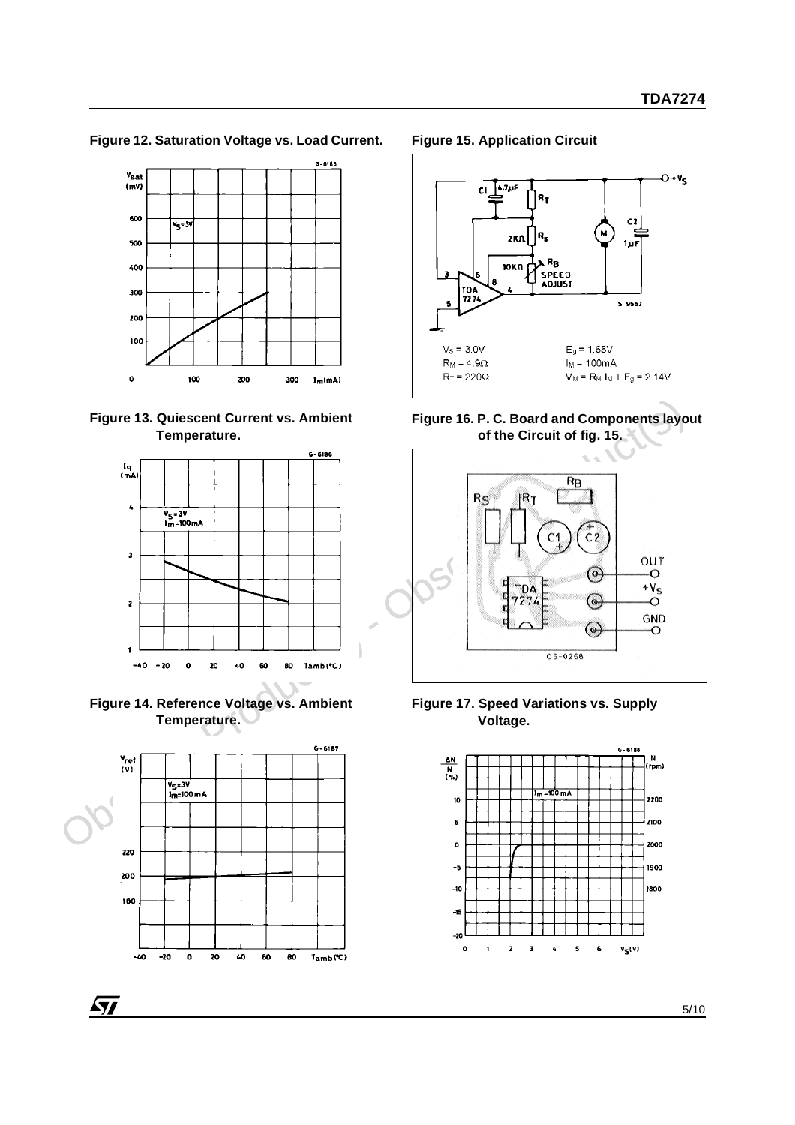**Figure 12. Saturation Voltage vs. Load Current.**



**Figure 13. Quiescent Current vs. Ambient Temperature.**







97

**Figure 15. Application Circuit**







**Figure 17. Speed Variations vs. Supply Voltage.**

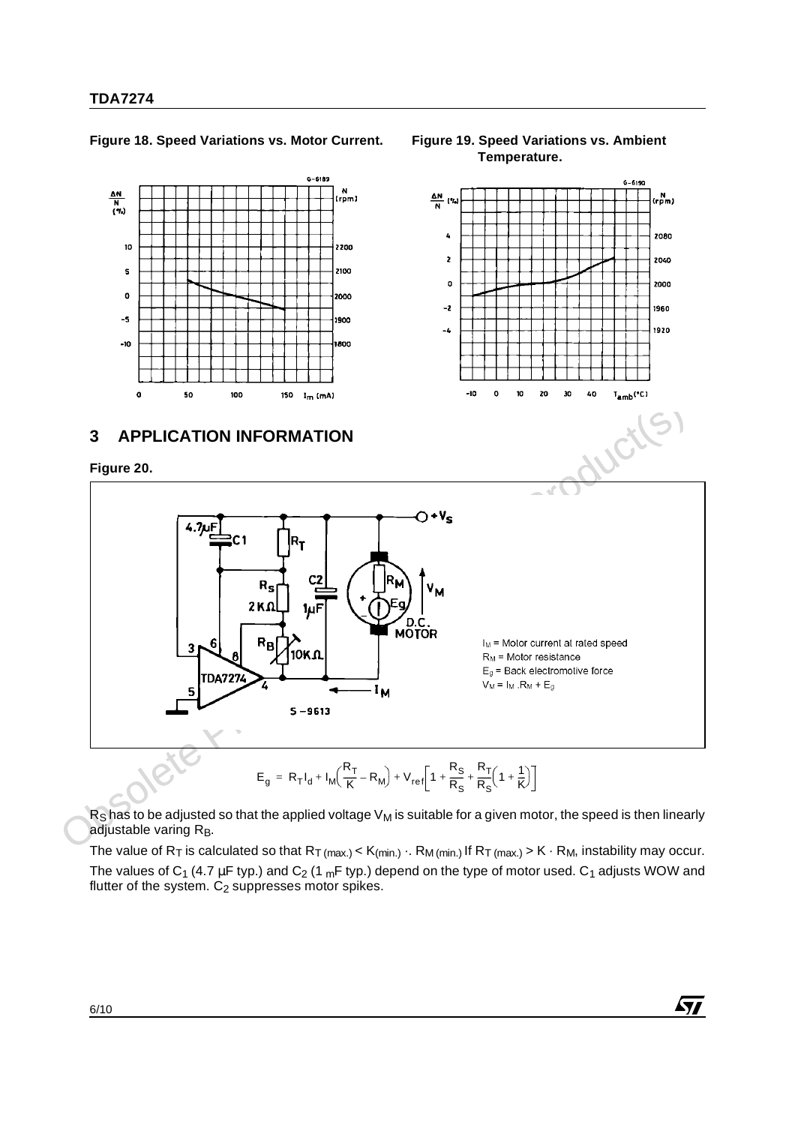$\frac{\Delta N}{N}$  (%)

10

#### **Figure 18. Speed Variations vs. Motor Current. Figure 19. Speed Variations vs. Ambient**

 $6 - 6189$ 

 $\frac{N}{rpm}$ 

2200



$$
E_g = R_T I_d + I_M \left( \frac{R_T}{K} - R_M \right) + V_{ref} \left[ 1 + \frac{R_S}{R_S} + \frac{R_T}{R_S} \left( 1 + \frac{1}{K} \right) \right]
$$

 $R<sub>S</sub>$  has to be adjusted so that the applied voltage  $V<sub>M</sub>$  is suitable for a given motor, the speed is then linearly adjustable varing  $R_B$ .

The value of  $R_T$  is calculated so that  $R_T$  (max.) <  $K$ (min.)  $\cdot$ .  $R_M$  (min.) If  $R_T$  (max.) >  $K \cdot R_M$ , instability may occur. The values of C<sub>1</sub> (4.7 µF typ.) and C<sub>2</sub> (1 <sub>m</sub>F typ.) depend on the type of motor used. C<sub>1</sub> adjusts WOW and flutter of the system.  $C_2$  suppresses motor spikes.

**Temperature.**



**Ayy**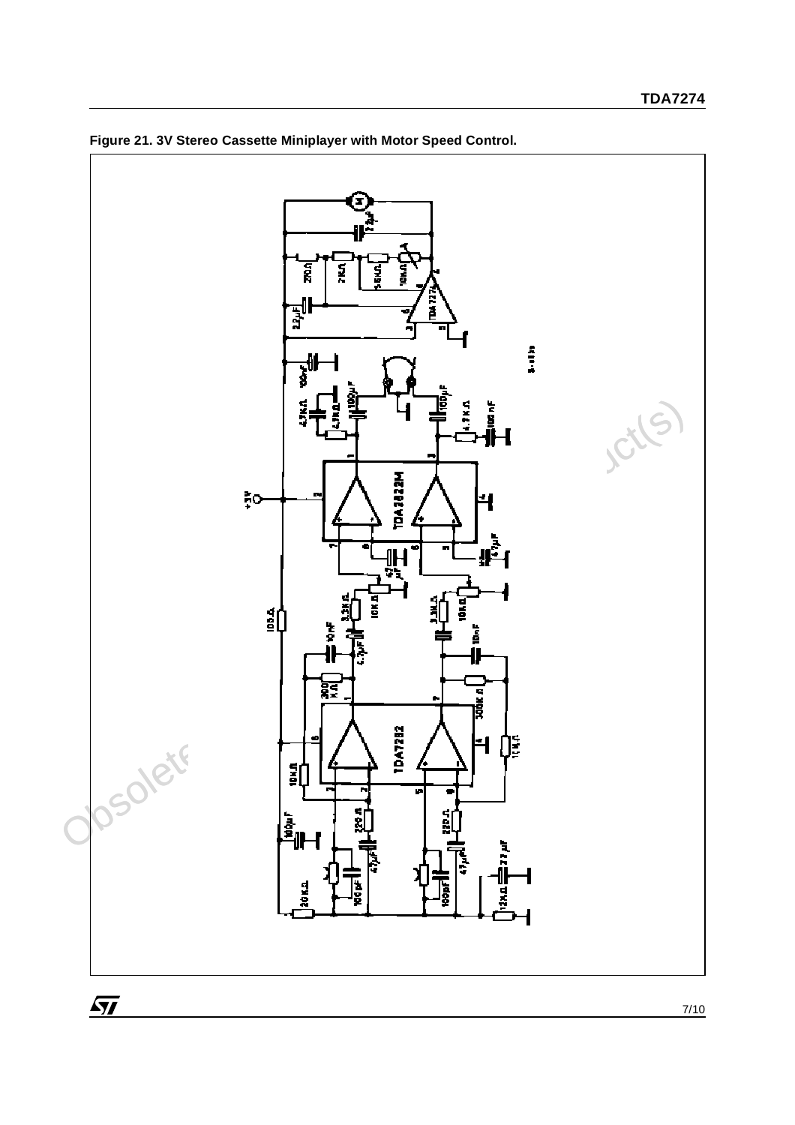

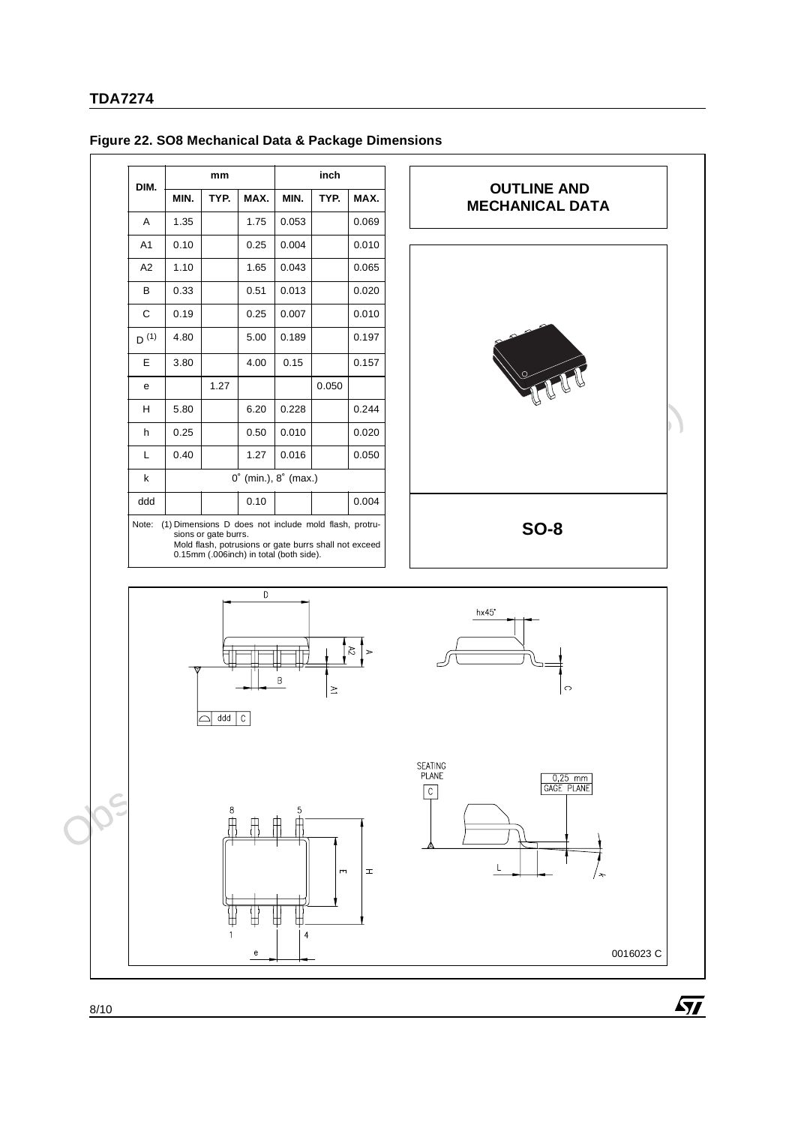| DIM.                                                                                                                                                                                       |                         | mm   |      |       | inch  |       |
|--------------------------------------------------------------------------------------------------------------------------------------------------------------------------------------------|-------------------------|------|------|-------|-------|-------|
|                                                                                                                                                                                            | MIN.                    | TYP. | MAX. | MIN.  | TYP.  | MAX.  |
| A                                                                                                                                                                                          | 1.35                    |      | 1.75 | 0.053 |       | 0.069 |
| A <sub>1</sub>                                                                                                                                                                             | 0.10                    |      | 0.25 | 0.004 |       | 0.010 |
| A <sub>2</sub>                                                                                                                                                                             | 1.10                    |      | 1.65 | 0.043 |       | 0.065 |
| B                                                                                                                                                                                          | 0.33                    |      | 0.51 | 0.013 |       | 0.020 |
| C                                                                                                                                                                                          | 0.19                    |      | 0.25 | 0.007 |       | 0.010 |
| $D^{(1)}$                                                                                                                                                                                  | 4.80                    |      | 5.00 | 0.189 |       | 0.197 |
| E                                                                                                                                                                                          | 3.80                    |      | 4.00 | 0.15  |       | 0.157 |
| e                                                                                                                                                                                          |                         | 1.27 |      |       | 0.050 |       |
| н                                                                                                                                                                                          | 5.80                    |      | 6.20 | 0.228 |       | 0.244 |
| h                                                                                                                                                                                          | 0.25                    |      | 0.50 | 0.010 |       | 0.020 |
| L                                                                                                                                                                                          | 0.40                    |      | 1.27 | 0.016 |       | 0.050 |
| k                                                                                                                                                                                          | (min.), 8° (max.)<br>0° |      |      |       |       |       |
| ddd                                                                                                                                                                                        |                         |      | 0.10 |       |       | 0.004 |
| (1) Dimensions D does not include mold flash, protru-<br>Note:<br>sions or gate burrs.<br>Mold flash, potrusions or gate burrs shall not exceed<br>0.15mm (.006inch) in total (both side). |                         |      |      |       |       |       |











0016023 C

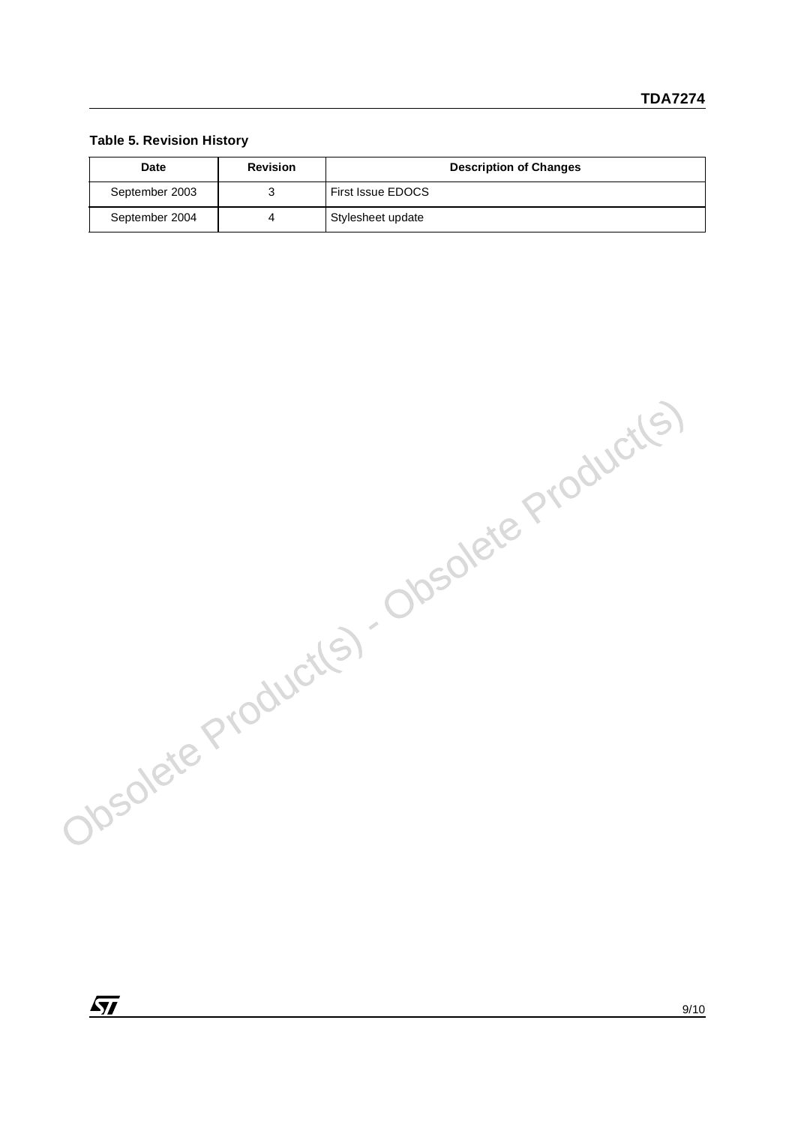#### **Table 5. Revision History**

| <b>Date</b>    | <b>Revision</b> | <b>Description of Changes</b> |
|----------------|-----------------|-------------------------------|
| September 2003 |                 | <b>First Issue EDOCS</b>      |
| September 2004 |                 | Stylesheet update             |

Obsolete Product(s) - Obsolete Product(s)